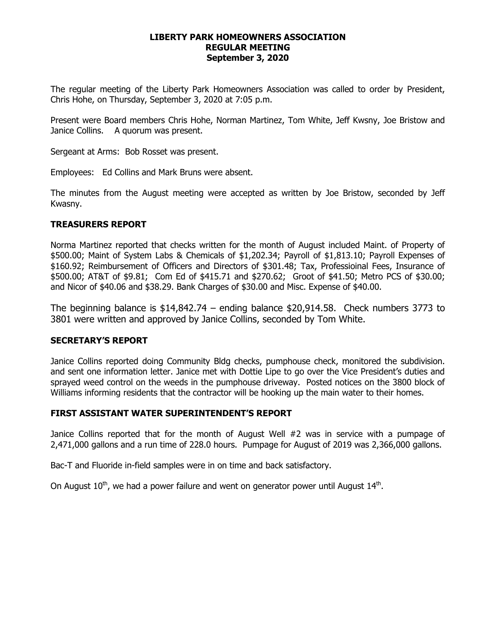#### **LIBERTY PARK HOMEOWNERS ASSOCIATION REGULAR MEETING September 3, 2020**

The regular meeting of the Liberty Park Homeowners Association was called to order by President, Chris Hohe, on Thursday, September 3, 2020 at 7:05 p.m.

Present were Board members Chris Hohe, Norman Martinez, Tom White, Jeff Kwsny, Joe Bristow and Janice Collins. A quorum was present.

Sergeant at Arms: Bob Rosset was present.

Employees: Ed Collins and Mark Bruns were absent.

The minutes from the August meeting were accepted as written by Joe Bristow, seconded by Jeff Kwasny.

# **TREASURERS REPORT**

Norma Martinez reported that checks written for the month of August included Maint. of Property of \$500.00; Maint of System Labs & Chemicals of \$1,202.34; Payroll of \$1,813.10; Payroll Expenses of \$160.92; Reimbursement of Officers and Directors of \$301.48; Tax, Professioinal Fees, Insurance of \$500.00; AT&T of \$9.81; Com Ed of \$415.71 and \$270.62; Groot of \$41.50; Metro PCS of \$30.00; and Nicor of \$40.06 and \$38.29. Bank Charges of \$30.00 and Misc. Expense of \$40.00.

The beginning balance is \$14,842.74 – ending balance \$20,914.58. Check numbers 3773 to 3801 were written and approved by Janice Collins, seconded by Tom White.

# **SECRETARY'S REPORT**

Janice Collins reported doing Community Bldg checks, pumphouse check, monitored the subdivision. and sent one information letter. Janice met with Dottie Lipe to go over the Vice President's duties and sprayed weed control on the weeds in the pumphouse driveway. Posted notices on the 3800 block of Williams informing residents that the contractor will be hooking up the main water to their homes.

# **FIRST ASSISTANT WATER SUPERINTENDENT'S REPORT**

Janice Collins reported that for the month of August Well #2 was in service with a pumpage of 2,471,000 gallons and a run time of 228.0 hours. Pumpage for August of 2019 was 2,366,000 gallons.

Bac-T and Fluoride in-field samples were in on time and back satisfactory.

On August  $10^{th}$ , we had a power failure and went on generator power until August  $14^{th}$ .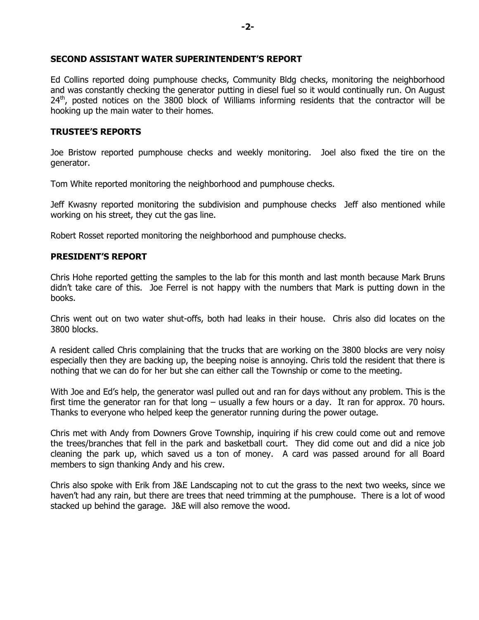## **SECOND ASSISTANT WATER SUPERINTENDENT'S REPORT**

Ed Collins reported doing pumphouse checks, Community Bldg checks, monitoring the neighborhood and was constantly checking the generator putting in diesel fuel so it would continually run. On August  $24<sup>th</sup>$ , posted notices on the 3800 block of Williams informing residents that the contractor will be hooking up the main water to their homes.

## **TRUSTEE'S REPORTS**

Joe Bristow reported pumphouse checks and weekly monitoring. Joel also fixed the tire on the generator.

Tom White reported monitoring the neighborhood and pumphouse checks.

Jeff Kwasny reported monitoring the subdivision and pumphouse checks Jeff also mentioned while working on his street, they cut the gas line.

Robert Rosset reported monitoring the neighborhood and pumphouse checks.

## **PRESIDENT'S REPORT**

Chris Hohe reported getting the samples to the lab for this month and last month because Mark Bruns didn't take care of this. Joe Ferrel is not happy with the numbers that Mark is putting down in the books.

Chris went out on two water shut-offs, both had leaks in their house. Chris also did locates on the 3800 blocks.

A resident called Chris complaining that the trucks that are working on the 3800 blocks are very noisy especially then they are backing up, the beeping noise is annoying. Chris told the resident that there is nothing that we can do for her but she can either call the Township or come to the meeting.

With Joe and Ed's help, the generator wasl pulled out and ran for days without any problem. This is the first time the generator ran for that long – usually a few hours or a day. It ran for approx. 70 hours. Thanks to everyone who helped keep the generator running during the power outage.

Chris met with Andy from Downers Grove Township, inquiring if his crew could come out and remove the trees/branches that fell in the park and basketball court. They did come out and did a nice job cleaning the park up, which saved us a ton of money. A card was passed around for all Board members to sign thanking Andy and his crew.

Chris also spoke with Erik from J&E Landscaping not to cut the grass to the next two weeks, since we haven't had any rain, but there are trees that need trimming at the pumphouse. There is a lot of wood stacked up behind the garage. J&E will also remove the wood.